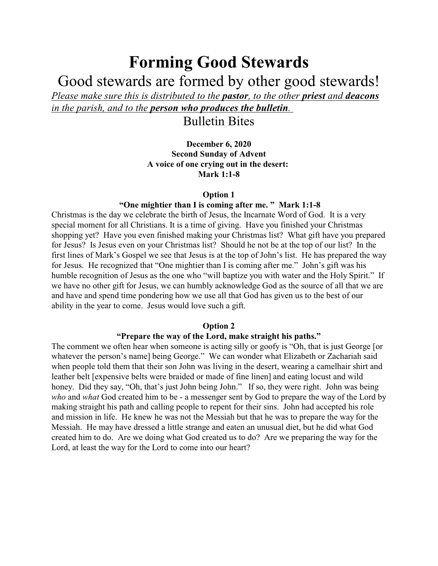# **Forming Good Stewards**

Good stewards are formed by other good stewards!

*Please make sure this is distributed to the pastor, to the other priest and deacons in the parish, and to the person who produces the bulletin.* 

Bulletin Bites

**December 6, 2020 Second Sunday of Advent A voice of one crying out in the desert: Mark 1:1-8**

### **Option 1**

## **"One mightier than I is coming after me. " Mark 1:1-8**

Christmas is the day we celebrate the birth of Jesus, the Incarnate Word of God. It is a very special moment for all Christians. It is a time of giving. Have you finished your Christmas shopping yet? Have you even finished making your Christmas list? What gift have you prepared for Jesus? Is Jesus even on your Christmas list? Should he not be at the top of our list? In the first lines of Mark's Gospel we see that Jesus is at the top of John's list. He has prepared the way for Jesus. He recognized that "One mightier than I is coming after me." John's gift was his humble recognition of Jesus as the one who "will baptize you with water and the Holy Spirit." If we have no other gift for Jesus, we can humbly acknowledge God as the source of all that we are and have and spend time pondering how we use all that God has given us to the best of our ability in the year to come. Jesus would love such a gift.

#### **Option 2**

## **"Prepare the way of the Lord, make straight his paths."**

The comment we often hear when someone is acting silly or goofy is "Oh, that is just George [or whatever the person's name] being George." We can wonder what Elizabeth or Zachariah said when people told them that their son John was living in the desert, wearing a camelhair shirt and leather belt [expensive belts were braided or made of fine linen] and eating locust and wild honey. Did they say, "Oh, that's just John being John." If so, they were right. John was being *who* and *what* God created him to be - a messenger sent by God to prepare the way of the Lord by making straight his path and calling people to repent for their sins. John had accepted his role and mission in life. He knew he was not the Messiah but that he was to prepare the way for the Messiah. He may have dressed a little strange and eaten an unusual diet, but he did what God created him to do. Are we doing what God created us to do? Are we preparing the way for the Lord, at least the way for the Lord to come into our heart?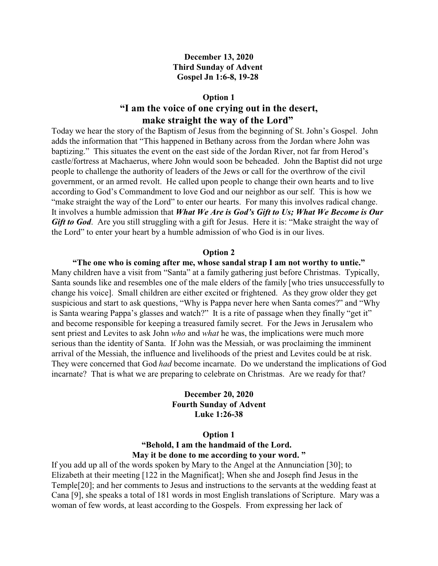## **December 13, 2020 Third Sunday of Advent Gospel Jn 1:6-8, 19-28**

#### **Option 1**

# **"I am the voice of one crying out in the desert, make straight the way of the Lord"**

Today we hear the story of the Baptism of Jesus from the beginning of St. John's Gospel. John adds the information that "This happened in Bethany across from the Jordan where John was baptizing." This situates the event on the east side of the Jordan River, not far from Herod's castle/fortress at Machaerus, where John would soon be beheaded. John the Baptist did not urge people to challenge the authority of leaders of the Jews or call for the overthrow of the civil government, or an armed revolt. He called upon people to change their own hearts and to live according to God's Commandment to love God and our neighbor as our self. This is how we "make straight the way of the Lord" to enter our hearts. For many this involves radical change. It involves a humble admission that *What We Are is God's Gift to Us; What We Become is Our Gift to God.* Are you still struggling with a gift for Jesus. Here it is: "Make straight the way of the Lord" to enter your heart by a humble admission of who God is in our lives.

#### **Option 2**

**"The one who is coming after me, whose sandal strap I am not worthy to untie."** Many children have a visit from "Santa" at a family gathering just before Christmas. Typically, Santa sounds like and resembles one of the male elders of the family [who tries unsuccessfully to change his voice]. Small children are either excited or frightened. As they grow older they get suspicious and start to ask questions, "Why is Pappa never here when Santa comes?" and "Why is Santa wearing Pappa's glasses and watch?" It is a rite of passage when they finally "get it" and become responsible for keeping a treasured family secret. For the Jews in Jerusalem who sent priest and Levites to ask John *who* and *what* he was, the implications were much more serious than the identity of Santa. If John was the Messiah, or was proclaiming the imminent arrival of the Messiah, the influence and livelihoods of the priest and Levites could be at risk. They were concerned that God *had* become incarnate. Do we understand the implications of God incarnate? That is what we are preparing to celebrate on Christmas. Are we ready for that?

> **December 20, 2020 Fourth Sunday of Advent Luke 1:26-38**

> > **Option 1**

**"Behold, I am the handmaid of the Lord. May it be done to me according to your word. "**

If you add up all of the words spoken by Mary to the Angel at the Annunciation [30]; to Elizabeth at their meeting [122 in the Magnificat]; When she and Joseph find Jesus in the Temple[20]; and her comments to Jesus and instructions to the servants at the wedding feast at Cana [9], she speaks a total of 181 words in most English translations of Scripture. Mary was a woman of few words, at least according to the Gospels. From expressing her lack of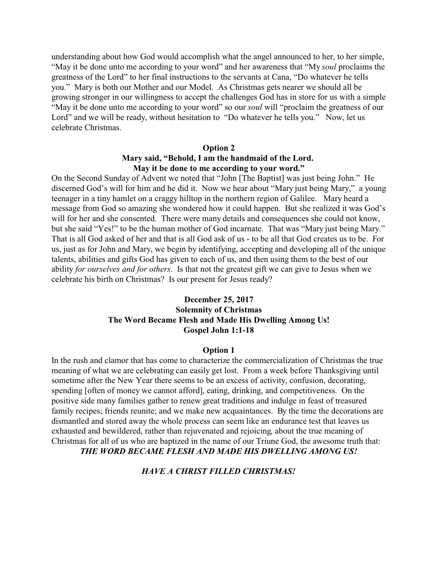understanding about how God would accomplish what the angel announced to her, to her simple, "May it be done unto me according to your word" and her awareness that "My *soul* proclaims the greatness of the Lord" to her final instructions to the servants at Cana, "Do whatever he tells you." Mary is both our Mother and our Model. As Christmas gets nearer we should all be growing stronger in our willingness to accept the challenges God has in store for us with a simple "May it be done unto me according to your word" so our *soul* will "proclaim the greatness of our Lord" and we will be ready, without hesitation to "Do whatever he tells you." Now, let us celebrate Christmas.

#### **Option 2**

## **Mary said, "Behold, I am the handmaid of the Lord. May it be done to me according to your word."**

On the Second Sunday of Advent we noted that "John [The Baptist] was just being John." He discerned God's will for him and he did it. Now we hear about "Mary just being Mary," a young teenager in a tiny hamlet on a craggy hilltop in the northern region of Galilee. Mary heard a message from God so amazing she wondered how it could happen. But she realized it was God's will for her and she consented. There were many details and consequences she could not know, but she said "Yes!" to be the human mother of God incarnate. That was "Mary just being Mary." That is all God asked of her and that is all God ask of us - to be all that God creates us to be. For us, just as for John and Mary, we begin by identifying, accepting and developing all of the unique talents, abilities and gifts God has given to each of us, and then using them to the best of our ability *for ourselves and for others*. Is that not the greatest gift we can give to Jesus when we celebrate his birth on Christmas? Is our present for Jesus ready?

# **December 25, 2017 Solemnity of Christmas The Word Became Flesh and Made His Dwelling Among Us! Gospel John 1:1-18**

#### **Option 1**

In the rush and clamor that has come to characterize the commercialization of Christmas the true meaning of what we are celebrating can easily get lost. From a week before Thanksgiving until sometime after the New Year there seems to be an excess of activity, confusion, decorating, spending [often of money we cannot afford], eating, drinking, and competitiveness. On the positive side many families gather to renew great traditions and indulge in feast of treasured family recipes; friends reunite; and we make new acquaintances. By the time the decorations are dismantled and stored away the whole process can seem like an endurance test that leaves us exhausted and bewildered, rather than rejuvenated and rejoicing, about the true meaning of Christmas for all of us who are baptized in the name of our Triune God, the awesome truth that:

*THE WORD BECAME FLESH AND MADE HIS DWELLING AMONG US!*

*HAVE A CHRIST FILLED CHRISTMAS!*